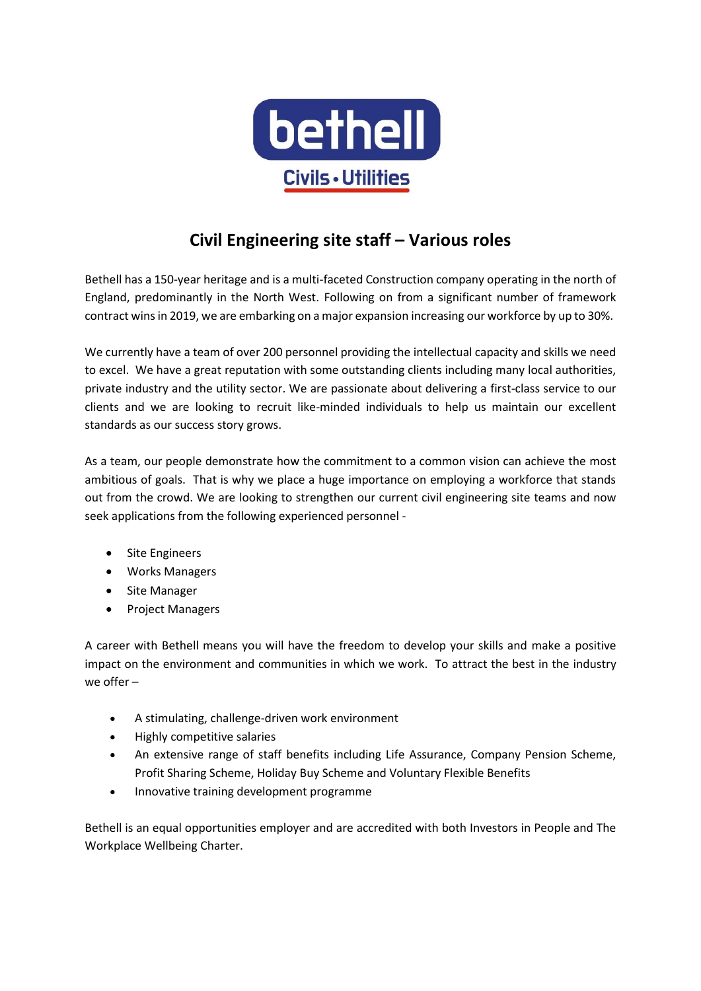

## **Civil Engineering site staff – Various roles**

Bethell has a 150-year heritage and is a multi-faceted Construction company operating in the north of England, predominantly in the North West. Following on from a significant number of framework contract wins in 2019, we are embarking on a major expansion increasing our workforce by up to 30%.

We currently have a team of over 200 personnel providing the intellectual capacity and skills we need to excel. We have a great reputation with some outstanding clients including many local authorities, private industry and the utility sector. We are passionate about delivering a first-class service to our clients and we are looking to recruit like-minded individuals to help us maintain our excellent standards as our success story grows.

As a team, our people demonstrate how the commitment to a common vision can achieve the most ambitious of goals. That is why we place a huge importance on employing a workforce that stands out from the crowd. We are looking to strengthen our current civil engineering site teams and now seek applications from the following experienced personnel -

- Site Engineers
- Works Managers
- Site Manager
- Project Managers

A career with Bethell means you will have the freedom to develop your skills and make a positive impact on the environment and communities in which we work. To attract the best in the industry we offer –

- A stimulating, challenge-driven work environment
- Highly competitive salaries
- An extensive range of staff benefits including Life Assurance, Company Pension Scheme, Profit Sharing Scheme, Holiday Buy Scheme and Voluntary Flexible Benefits
- Innovative training development programme

Bethell is an equal opportunities employer and are accredited with both Investors in People and The Workplace Wellbeing Charter.